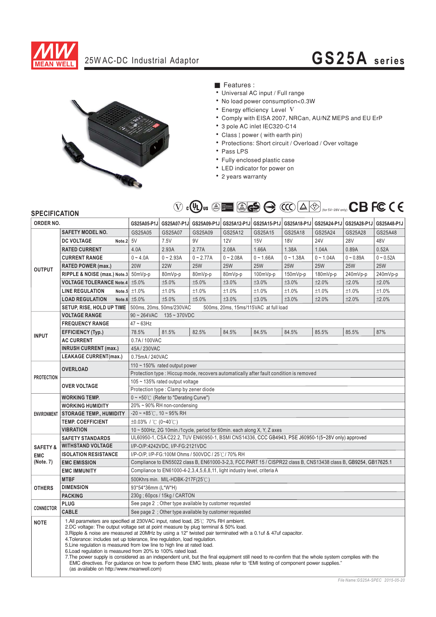

# 25W AC-DC Industrial Adaptor **GS25A series**



### ■ Features :

- Universal AC input / Full range
- No load power consumption<0.3W
- Energy efficiency Level V
- Comply with EISA 2007, NRCan, AU/NZ MEPS and EU ErP
- 3 pole AC inlet IEC320-C14
- Class I power (with earth pin)
- Protections: Short circuit / Overload / Over voltage
- Pass LPS
- · Fully enclosed plastic case
- LED indicator for power on
- 2 years warranty

## (for  $5V - 28V$  only)

## **SPECIAL**

| ORDER NO.                                      |                                                                                                                                                                                                                                                                                                                                                                                                                                                                                                                                                                                                                                                                                                                                                                                                                                                   | GS25A05-P1J                                                                                                      | GS25A07-P1J     |             |             |             |             |             | GS25A09-P1J GS25A12-P1J GS25A15-P1J GS25A18-P1J GS25A24-P1J GS25A28-P1J GS25A48-P1J |             |
|------------------------------------------------|---------------------------------------------------------------------------------------------------------------------------------------------------------------------------------------------------------------------------------------------------------------------------------------------------------------------------------------------------------------------------------------------------------------------------------------------------------------------------------------------------------------------------------------------------------------------------------------------------------------------------------------------------------------------------------------------------------------------------------------------------------------------------------------------------------------------------------------------------|------------------------------------------------------------------------------------------------------------------|-----------------|-------------|-------------|-------------|-------------|-------------|-------------------------------------------------------------------------------------|-------------|
| <b>OUTPUT</b>                                  | <b>SAFETY MODEL NO.</b>                                                                                                                                                                                                                                                                                                                                                                                                                                                                                                                                                                                                                                                                                                                                                                                                                           | GS25A05                                                                                                          | GS25A07         | GS25A09     | GS25A12     | GS25A15     | GS25A18     | GS25A24     | GS25A28                                                                             | GS25A48     |
|                                                | <b>DC VOLTAGE</b><br>Note.2                                                                                                                                                                                                                                                                                                                                                                                                                                                                                                                                                                                                                                                                                                                                                                                                                       | 5V                                                                                                               | 7.5V            | 9V          | 12V         | 15V         | <b>18V</b>  | <b>24V</b>  | <b>28V</b>                                                                          | 48V         |
|                                                | <b>RATED CURRENT</b>                                                                                                                                                                                                                                                                                                                                                                                                                                                                                                                                                                                                                                                                                                                                                                                                                              | 4.0A                                                                                                             | 2.93A           | 2.77A       | 2.08A       | 1.66A       | 1.38A       | 1.04A       | 0.89A                                                                               | 0.52A       |
|                                                | <b>CURRENT RANGE</b>                                                                                                                                                                                                                                                                                                                                                                                                                                                                                                                                                                                                                                                                                                                                                                                                                              | $0 - 4.0A$                                                                                                       | $0 - 2.93A$     | $0 - 2.77A$ | $0 - 2.08A$ | $0 - 1.66A$ | $0 - 1.38A$ | $0 - 1.04A$ | $0 - 0.89A$                                                                         | $0 - 0.52A$ |
|                                                | <b>RATED POWER (max.)</b>                                                                                                                                                                                                                                                                                                                                                                                                                                                                                                                                                                                                                                                                                                                                                                                                                         | <b>20W</b>                                                                                                       | <b>22W</b>      | <b>25W</b>  | <b>25W</b>  | <b>25W</b>  | <b>25W</b>  | <b>25W</b>  | <b>25W</b>                                                                          | <b>25W</b>  |
|                                                | RIPPLE & NOISE (max.) Note.3 50mVp-p                                                                                                                                                                                                                                                                                                                                                                                                                                                                                                                                                                                                                                                                                                                                                                                                              |                                                                                                                  | 80mVp-p         | 80mVp-p     | 80mVp-p     | 100mVp-p    | 150mVp-p    | 180mVp-p    | 240mVp-p                                                                            | 240mVp-p    |
|                                                | <b>VOLTAGE TOLERANCE Note.4</b>                                                                                                                                                                                                                                                                                                                                                                                                                                                                                                                                                                                                                                                                                                                                                                                                                   | ±5.0%                                                                                                            | ±5.0%           | ±5.0%       | ±3.0%       | ±3.0%       | ±3.0%       | ±2.0%       | ±2.0%                                                                               | ±2.0%       |
|                                                | <b>LINE REGULATION</b>                                                                                                                                                                                                                                                                                                                                                                                                                                                                                                                                                                                                                                                                                                                                                                                                                            | Note.5 $\pm 1.0\%$                                                                                               | ±1.0%           | ±1.0%       | ±1.0%       | ±1.0%       | ±1.0%       | ±1.0%       | ±1.0%                                                                               | ±1.0%       |
|                                                | <b>LOAD REGULATION</b>                                                                                                                                                                                                                                                                                                                                                                                                                                                                                                                                                                                                                                                                                                                                                                                                                            | Note.6 $±5.0\%$                                                                                                  | ±5.0%           | ±5.0%       | ±3.0%       | ±3.0%       | ±3.0%       | ±2.0%       | ±2.0%                                                                               | ±2.0%       |
|                                                | SETUP, RISE, HOLD UP TIME                                                                                                                                                                                                                                                                                                                                                                                                                                                                                                                                                                                                                                                                                                                                                                                                                         | 500ms, 20ms, 50ms/230VAC<br>500ms, 20ms, 15ms/115VAC at full load                                                |                 |             |             |             |             |             |                                                                                     |             |
|                                                | <b>VOLTAGE RANGE</b>                                                                                                                                                                                                                                                                                                                                                                                                                                                                                                                                                                                                                                                                                                                                                                                                                              | $90 \sim 264$ VAC<br>$135 - 370$ VDC                                                                             |                 |             |             |             |             |             |                                                                                     |             |
| <b>INPUT</b>                                   | <b>FREQUENCY RANGE</b>                                                                                                                                                                                                                                                                                                                                                                                                                                                                                                                                                                                                                                                                                                                                                                                                                            | $47 - 63$ Hz                                                                                                     |                 |             |             |             |             |             |                                                                                     |             |
|                                                | <b>EFFICIENCY (Typ.)</b>                                                                                                                                                                                                                                                                                                                                                                                                                                                                                                                                                                                                                                                                                                                                                                                                                          | 78.5%                                                                                                            | 81.5%           | 82.5%       | 84.5%       | 84.5%       | 84.5%       | 85.5%       | 85.5%                                                                               | 87%         |
|                                                | <b>AC CURRENT</b>                                                                                                                                                                                                                                                                                                                                                                                                                                                                                                                                                                                                                                                                                                                                                                                                                                 | 0.7A/100VAC                                                                                                      |                 |             |             |             |             |             |                                                                                     |             |
|                                                | <b>INRUSH CURRENT (max.)</b>                                                                                                                                                                                                                                                                                                                                                                                                                                                                                                                                                                                                                                                                                                                                                                                                                      | 45A / 230VAC                                                                                                     |                 |             |             |             |             |             |                                                                                     |             |
|                                                | <b>LEAKAGE CURRENT(max.)</b>                                                                                                                                                                                                                                                                                                                                                                                                                                                                                                                                                                                                                                                                                                                                                                                                                      |                                                                                                                  | 0.75mA / 240VAC |             |             |             |             |             |                                                                                     |             |
| <b>PROTECTION</b>                              | <b>OVERLOAD</b>                                                                                                                                                                                                                                                                                                                                                                                                                                                                                                                                                                                                                                                                                                                                                                                                                                   | $110 \sim 150\%$ rated output power                                                                              |                 |             |             |             |             |             |                                                                                     |             |
|                                                |                                                                                                                                                                                                                                                                                                                                                                                                                                                                                                                                                                                                                                                                                                                                                                                                                                                   | Protection type: Hiccup mode, recovers automatically after fault condition is removed                            |                 |             |             |             |             |             |                                                                                     |             |
|                                                | <b>OVER VOLTAGE</b>                                                                                                                                                                                                                                                                                                                                                                                                                                                                                                                                                                                                                                                                                                                                                                                                                               | 105 ~ 135% rated output voltage                                                                                  |                 |             |             |             |             |             |                                                                                     |             |
|                                                |                                                                                                                                                                                                                                                                                                                                                                                                                                                                                                                                                                                                                                                                                                                                                                                                                                                   | Protection type : Clamp by zener diode                                                                           |                 |             |             |             |             |             |                                                                                     |             |
| <b>ENVIRONMENT</b>                             | <b>WORKING TEMP.</b><br><b>WORKING HUMIDITY</b>                                                                                                                                                                                                                                                                                                                                                                                                                                                                                                                                                                                                                                                                                                                                                                                                   | $0 \sim +50^{\circ}$ (Refer to "Derating Curve")<br>20% ~ 90% RH non-condensing                                  |                 |             |             |             |             |             |                                                                                     |             |
|                                                | <b>STORAGE TEMP., HUMIDITY</b>                                                                                                                                                                                                                                                                                                                                                                                                                                                                                                                                                                                                                                                                                                                                                                                                                    | $-20 \sim +85^{\circ}$ C, 10 ~ 95% RH                                                                            |                 |             |             |             |             |             |                                                                                     |             |
|                                                | <b>TEMP. COEFFICIENT</b>                                                                                                                                                                                                                                                                                                                                                                                                                                                                                                                                                                                                                                                                                                                                                                                                                          | ±0.03% / °C (0~40°C)                                                                                             |                 |             |             |             |             |             |                                                                                     |             |
|                                                | <b>VIBRATION</b>                                                                                                                                                                                                                                                                                                                                                                                                                                                                                                                                                                                                                                                                                                                                                                                                                                  | $10 \sim 500$ Hz, 2G 10min./1 cycle, period for 60min. each along X, Y, Z axes                                   |                 |             |             |             |             |             |                                                                                     |             |
|                                                | <b>SAFETY STANDARDS</b>                                                                                                                                                                                                                                                                                                                                                                                                                                                                                                                                                                                                                                                                                                                                                                                                                           | UL60950-1, CSA C22.2, TUV EN60950-1, BSMI CNS14336, CCC GB4943, PSE J60950-1(5~28V only) approved                |                 |             |             |             |             |             |                                                                                     |             |
| <b>SAFETY &amp;</b><br><b>EMC</b><br>(Note. 7) | <b>WITHSTAND VOLTAGE</b>                                                                                                                                                                                                                                                                                                                                                                                                                                                                                                                                                                                                                                                                                                                                                                                                                          | I/P-O/P:4242VDC, I/P-FG:2121VDC                                                                                  |                 |             |             |             |             |             |                                                                                     |             |
|                                                | <b>ISOLATION RESISTANCE</b>                                                                                                                                                                                                                                                                                                                                                                                                                                                                                                                                                                                                                                                                                                                                                                                                                       | I/P-O/P, I/P-FG:100M Ohms / 500VDC / 25°C / 70% RH                                                               |                 |             |             |             |             |             |                                                                                     |             |
|                                                | <b>EMC EMISSION</b>                                                                                                                                                                                                                                                                                                                                                                                                                                                                                                                                                                                                                                                                                                                                                                                                                               | Compliance to EN55022 class B, EN61000-3-2,3, FCC PART 15 / CISPR22 class B, CNS13438 class B, GB9254, GB17625.1 |                 |             |             |             |             |             |                                                                                     |             |
|                                                | <b>EMC IMMUNITY</b>                                                                                                                                                                                                                                                                                                                                                                                                                                                                                                                                                                                                                                                                                                                                                                                                                               | Compliance to EN61000-4-2, 3, 4, 5, 6, 8, 11, light industry level, criteria A                                   |                 |             |             |             |             |             |                                                                                     |             |
| <b>OTHERS</b>                                  | <b>MTBF</b>                                                                                                                                                                                                                                                                                                                                                                                                                                                                                                                                                                                                                                                                                                                                                                                                                                       | 500Khrs min. MIL-HDBK-217F(25℃)                                                                                  |                 |             |             |             |             |             |                                                                                     |             |
|                                                | <b>DIMENSION</b>                                                                                                                                                                                                                                                                                                                                                                                                                                                                                                                                                                                                                                                                                                                                                                                                                                  | 93*54*36mm (L*W*H)                                                                                               |                 |             |             |             |             |             |                                                                                     |             |
|                                                | <b>PACKING</b>                                                                                                                                                                                                                                                                                                                                                                                                                                                                                                                                                                                                                                                                                                                                                                                                                                    | 230g; 60pcs / 15kg / CARTON                                                                                      |                 |             |             |             |             |             |                                                                                     |             |
| <b>CONNECTOR</b>                               | <b>PLUG</b>                                                                                                                                                                                                                                                                                                                                                                                                                                                                                                                                                                                                                                                                                                                                                                                                                                       | See page 2 ; Other type available by customer requested                                                          |                 |             |             |             |             |             |                                                                                     |             |
|                                                | <b>CABLE</b>                                                                                                                                                                                                                                                                                                                                                                                                                                                                                                                                                                                                                                                                                                                                                                                                                                      | See page 2 ; Other type available by customer requested                                                          |                 |             |             |             |             |             |                                                                                     |             |
| <b>NOTE</b>                                    | 1.All parameters are specified at 230VAC input, rated load, 25°C 70% RH ambient.<br>2.DC voltage: The output voltage set at point measure by plug terminal & 50% load.<br>3. Ripple & noise are measured at 20MHz by using a 12" twisted pair terminated with a 0.1uf & 47uf capacitor.<br>4. Tolerance: includes set up tolerance, line regulation, load regulation.<br>5. Line regulation is measured from low line to high line at rated load.<br>6. Load regulation is measured from 20% to 100% rated load.<br>7. The power supply is considered as an independent unit, but the final equipment still need to re-confirm that the whole system complies with the<br>EMC directives. For quidance on how to perform these EMC tests, please refer to "EMI testing of component power supplies."<br>(as available on http://www.meanwell.com) |                                                                                                                  |                 |             |             |             |             |             |                                                                                     |             |